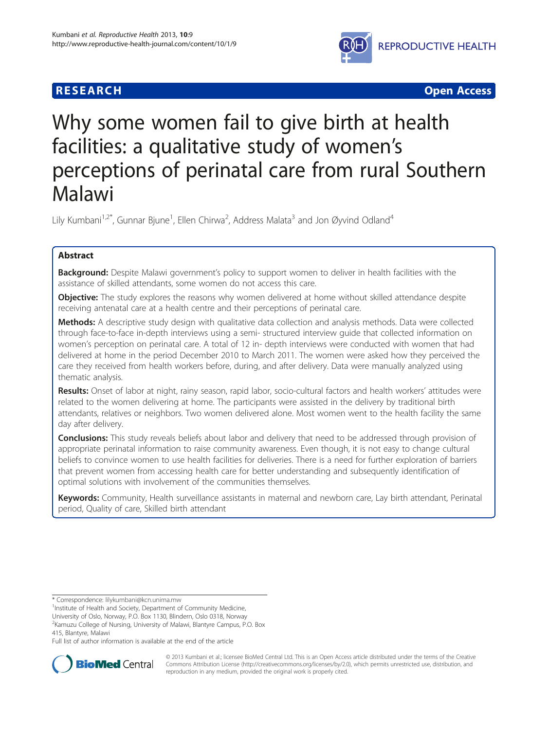# **RESEARCH CHE CHE Open Access**



# Why some women fail to give birth at health facilities: a qualitative study of women's perceptions of perinatal care from rural Southern Malawi

Lily Kumbani<sup>1,2\*</sup>, Gunnar Bjune<sup>1</sup>, Ellen Chirwa<sup>2</sup>, Address Malata<sup>3</sup> and Jon Øyvind Odland<sup>4</sup>

# Abstract

Background: Despite Malawi government's policy to support women to deliver in health facilities with the assistance of skilled attendants, some women do not access this care.

**Objective:** The study explores the reasons why women delivered at home without skilled attendance despite receiving antenatal care at a health centre and their perceptions of perinatal care.

Methods: A descriptive study design with qualitative data collection and analysis methods. Data were collected through face-to-face in-depth interviews using a semi- structured interview guide that collected information on women's perception on perinatal care. A total of 12 in- depth interviews were conducted with women that had delivered at home in the period December 2010 to March 2011. The women were asked how they perceived the care they received from health workers before, during, and after delivery. Data were manually analyzed using thematic analysis.

Results: Onset of labor at night, rainy season, rapid labor, socio-cultural factors and health workers' attitudes were related to the women delivering at home. The participants were assisted in the delivery by traditional birth attendants, relatives or neighbors. Two women delivered alone. Most women went to the health facility the same day after delivery.

**Conclusions:** This study reveals beliefs about labor and delivery that need to be addressed through provision of appropriate perinatal information to raise community awareness. Even though, it is not easy to change cultural beliefs to convince women to use health facilities for deliveries. There is a need for further exploration of barriers that prevent women from accessing health care for better understanding and subsequently identification of optimal solutions with involvement of the communities themselves.

Keywords: Community, Health surveillance assistants in maternal and newborn care, Lay birth attendant, Perinatal period, Quality of care, Skilled birth attendant

<sup>1</sup> Institute of Health and Society, Department of Community Medicine,

University of Oslo, Norway, P.O. Box 1130, Blindern, Oslo 0318, Norway

<sup>2</sup> Kamuzu College of Nursing, University of Malawi, Blantyre Campus, P.O. Box 415, Blantyre, Malawi

Full list of author information is available at the end of the article



© 2013 Kumbani et al.; licensee BioMed Central Ltd. This is an Open Access article distributed under the terms of the Creative Commons Attribution License [\(http://creativecommons.org/licenses/by/2.0\)](http://creativecommons.org/licenses/by/2.0), which permits unrestricted use, distribution, and reproduction in any medium, provided the original work is properly cited.

<sup>\*</sup> Correspondence: [lilykumbani@kcn.unima.mw](mailto:lilykumbani@kcn.unima.mw) <sup>1</sup>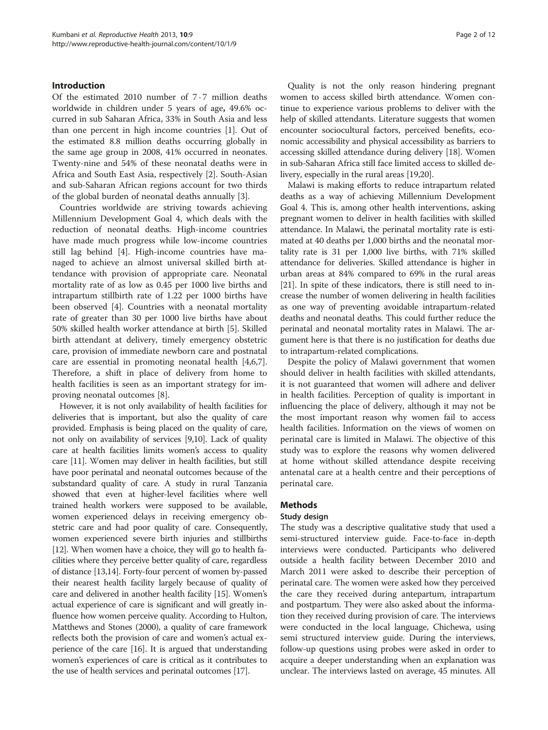#### Introduction

Of the estimated 2010 number of  $7 \cdot 7$  million deaths worldwide in children under 5 years of age, 49.6% occurred in sub Saharan Africa, 33% in South Asia and less than one percent in high income countries [[1\]](#page-10-0). Out of the estimated 8.8 million deaths occurring globally in the same age group in 2008, 41% occurred in neonates. Twenty-nine and 54% of these neonatal deaths were in Africa and South East Asia, respectively [[2](#page-10-0)]. South-Asian and sub-Saharan African regions account for two thirds of the global burden of neonatal deaths annually [\[3](#page-10-0)].

Countries worldwide are striving towards achieving Millennium Development Goal 4, which deals with the reduction of neonatal deaths. High-income countries have made much progress while low-income countries still lag behind [\[4](#page-10-0)]. High-income countries have managed to achieve an almost universal skilled birth attendance with provision of appropriate care. Neonatal mortality rate of as low as 0.45 per 1000 live births and intrapartum stillbirth rate of 1.22 per 1000 births have been observed [\[4](#page-10-0)]. Countries with a neonatal mortality rate of greater than 30 per 1000 live births have about 50% skilled health worker attendance at birth [[5\]](#page-10-0). Skilled birth attendant at delivery, timely emergency obstetric care, provision of immediate newborn care and postnatal care are essential in promoting neonatal health [\[4,6,7](#page-10-0)]. Therefore, a shift in place of delivery from home to health facilities is seen as an important strategy for improving neonatal outcomes [\[8](#page-10-0)].

However, it is not only availability of health facilities for deliveries that is important, but also the quality of care provided. Emphasis is being placed on the quality of care, not only on availability of services [\[9,10](#page-10-0)]. Lack of quality care at health facilities limits women's access to quality care [[11](#page-10-0)]. Women may deliver in health facilities, but still have poor perinatal and neonatal outcomes because of the substandard quality of care. A study in rural Tanzania showed that even at higher-level facilities where well trained health workers were supposed to be available, women experienced delays in receiving emergency obstetric care and had poor quality of care. Consequently, women experienced severe birth injuries and stillbirths [[12](#page-10-0)]. When women have a choice, they will go to health facilities where they perceive better quality of care, regardless of distance [\[13,14](#page-10-0)]. Forty-four percent of women by-passed their nearest health facility largely because of quality of care and delivered in another health facility [[15](#page-10-0)]. Women's actual experience of care is significant and will greatly influence how women perceive quality. According to Hulton, Matthews and Stones (2000), a quality of care framework reflects both the provision of care and women's actual experience of the care [\[16\]](#page-10-0). It is argued that understanding women's experiences of care is critical as it contributes to the use of health services and perinatal outcomes [[17](#page-10-0)].

Quality is not the only reason hindering pregnant women to access skilled birth attendance. Women continue to experience various problems to deliver with the help of skilled attendants. Literature suggests that women encounter sociocultural factors, perceived benefits, economic accessibility and physical accessibility as barriers to accessing skilled attendance during delivery [[18](#page-10-0)]. Women in sub-Saharan Africa still face limited access to skilled delivery, especially in the rural areas [\[19,20](#page-10-0)].

Malawi is making efforts to reduce intrapartum related deaths as a way of achieving Millennium Development Goal 4. This is, among other health interventions, asking pregnant women to deliver in health facilities with skilled attendance. In Malawi, the perinatal mortality rate is estimated at 40 deaths per 1,000 births and the neonatal mortality rate is 31 per 1,000 live births, with 71% skilled attendance for deliveries. Skilled attendance is higher in urban areas at 84% compared to 69% in the rural areas [[21](#page-10-0)]. In spite of these indicators, there is still need to increase the number of women delivering in health facilities as one way of preventing avoidable intrapartum-related deaths and neonatal deaths. This could further reduce the perinatal and neonatal mortality rates in Malawi. The argument here is that there is no justification for deaths due to intrapartum-related complications.

Despite the policy of Malawi government that women should deliver in health facilities with skilled attendants, it is not guaranteed that women will adhere and deliver in health facilities. Perception of quality is important in influencing the place of delivery, although it may not be the most important reason why women fail to access health facilities. Information on the views of women on perinatal care is limited in Malawi. The objective of this study was to explore the reasons why women delivered at home without skilled attendance despite receiving antenatal care at a health centre and their perceptions of perinatal care.

# Methods

#### Study design

The study was a descriptive qualitative study that used a semi-structured interview guide. Face-to-face in-depth interviews were conducted. Participants who delivered outside a health facility between December 2010 and March 2011 were asked to describe their perception of perinatal care. The women were asked how they perceived the care they received during antepartum, intrapartum and postpartum. They were also asked about the information they received during provision of care. The interviews were conducted in the local language, Chichewa, using semi structured interview guide. During the interviews, follow-up questions using probes were asked in order to acquire a deeper understanding when an explanation was unclear. The interviews lasted on average, 45 minutes. All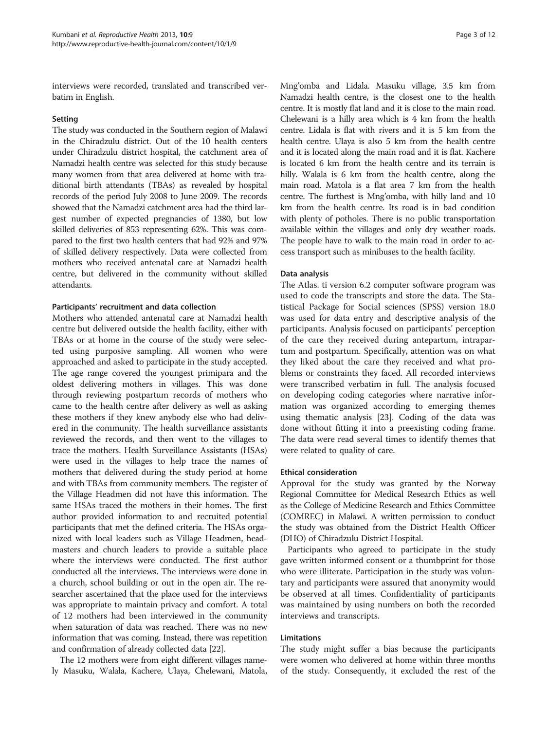interviews were recorded, translated and transcribed verbatim in English.

#### Setting

The study was conducted in the Southern region of Malawi in the Chiradzulu district. Out of the 10 health centers under Chiradzulu district hospital, the catchment area of Namadzi health centre was selected for this study because many women from that area delivered at home with traditional birth attendants (TBAs) as revealed by hospital records of the period July 2008 to June 2009. The records showed that the Namadzi catchment area had the third largest number of expected pregnancies of 1380, but low skilled deliveries of 853 representing 62%. This was compared to the first two health centers that had 92% and 97% of skilled delivery respectively. Data were collected from mothers who received antenatal care at Namadzi health centre, but delivered in the community without skilled attendants.

#### Participants' recruitment and data collection

Mothers who attended antenatal care at Namadzi health centre but delivered outside the health facility, either with TBAs or at home in the course of the study were selected using purposive sampling. All women who were approached and asked to participate in the study accepted. The age range covered the youngest primipara and the oldest delivering mothers in villages. This was done through reviewing postpartum records of mothers who came to the health centre after delivery as well as asking these mothers if they knew anybody else who had delivered in the community. The health surveillance assistants reviewed the records, and then went to the villages to trace the mothers. Health Surveillance Assistants (HSAs) were used in the villages to help trace the names of mothers that delivered during the study period at home and with TBAs from community members. The register of the Village Headmen did not have this information. The same HSAs traced the mothers in their homes. The first author provided information to and recruited potential participants that met the defined criteria. The HSAs organized with local leaders such as Village Headmen, headmasters and church leaders to provide a suitable place where the interviews were conducted. The first author conducted all the interviews. The interviews were done in a church, school building or out in the open air. The researcher ascertained that the place used for the interviews was appropriate to maintain privacy and comfort. A total of 12 mothers had been interviewed in the community when saturation of data was reached. There was no new information that was coming. Instead, there was repetition and confirmation of already collected data [\[22\]](#page-10-0).

The 12 mothers were from eight different villages namely Masuku, Walala, Kachere, Ulaya, Chelewani, Matola,

Mng'omba and Lidala. Masuku village, 3.5 km from Namadzi health centre, is the closest one to the health centre. It is mostly flat land and it is close to the main road. Chelewani is a hilly area which is 4 km from the health centre. Lidala is flat with rivers and it is 5 km from the health centre. Ulaya is also 5 km from the health centre and it is located along the main road and it is flat. Kachere is located 6 km from the health centre and its terrain is hilly. Walala is 6 km from the health centre, along the main road. Matola is a flat area 7 km from the health centre. The furthest is Mng'omba, with hilly land and 10 km from the health centre. Its road is in bad condition with plenty of potholes. There is no public transportation available within the villages and only dry weather roads. The people have to walk to the main road in order to access transport such as minibuses to the health facility.

#### Data analysis

The Atlas. ti version 6.2 computer software program was used to code the transcripts and store the data. The Statistical Package for Social sciences (SPSS) version 18.0 was used for data entry and descriptive analysis of the participants. Analysis focused on participants' perception of the care they received during antepartum, intrapartum and postpartum. Specifically, attention was on what they liked about the care they received and what problems or constraints they faced. All recorded interviews were transcribed verbatim in full. The analysis focused on developing coding categories where narrative information was organized according to emerging themes using thematic analysis [\[23\]](#page-10-0). Coding of the data was done without fitting it into a preexisting coding frame. The data were read several times to identify themes that were related to quality of care.

# Ethical consideration

Approval for the study was granted by the Norway Regional Committee for Medical Research Ethics as well as the College of Medicine Research and Ethics Committee (COMREC) in Malawi. A written permission to conduct the study was obtained from the District Health Officer (DHO) of Chiradzulu District Hospital.

Participants who agreed to participate in the study gave written informed consent or a thumbprint for those who were illiterate. Participation in the study was voluntary and participants were assured that anonymity would be observed at all times. Confidentiality of participants was maintained by using numbers on both the recorded interviews and transcripts.

# Limitations

The study might suffer a bias because the participants were women who delivered at home within three months of the study. Consequently, it excluded the rest of the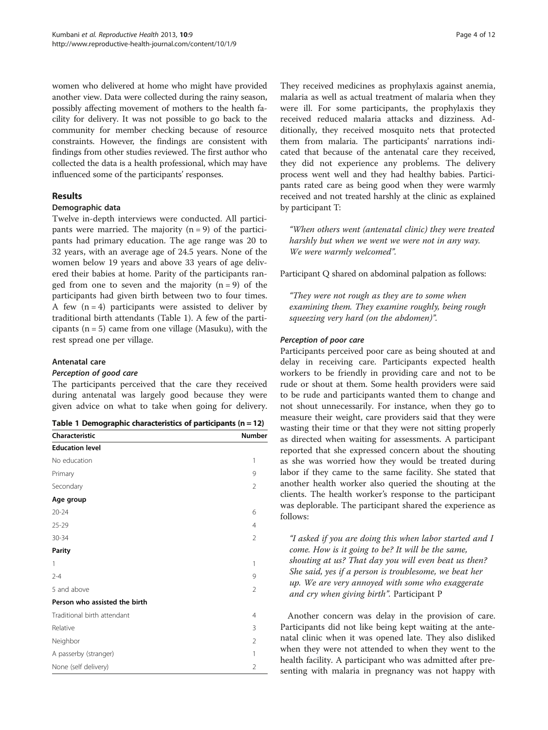women who delivered at home who might have provided another view. Data were collected during the rainy season, possibly affecting movement of mothers to the health facility for delivery. It was not possible to go back to the community for member checking because of resource constraints. However, the findings are consistent with findings from other studies reviewed. The first author who collected the data is a health professional, which may have influenced some of the participants' responses.

# Results

#### Demographic data

Twelve in-depth interviews were conducted. All participants were married. The majority  $(n = 9)$  of the participants had primary education. The age range was 20 to 32 years, with an average age of 24.5 years. None of the women below 19 years and above 33 years of age delivered their babies at home. Parity of the participants ranged from one to seven and the majority  $(n = 9)$  of the participants had given birth between two to four times. A few  $(n = 4)$  participants were assisted to deliver by traditional birth attendants (Table 1). A few of the participants ( $n = 5$ ) came from one village (Masuku), with the rest spread one per village.

#### Antenatal care

#### Perception of good care

The participants perceived that the care they received during antenatal was largely good because they were given advice on what to take when going for delivery.

| Table 1 Demographic characteristics of participants ( $n = 12$ ) |  |
|------------------------------------------------------------------|--|
|------------------------------------------------------------------|--|

| Characteristic                | Number         |
|-------------------------------|----------------|
| <b>Education level</b>        |                |
| No education                  | 1              |
| Primary                       | 9              |
| Secondary                     | $\overline{2}$ |
| Age group                     |                |
| $20 - 24$                     | 6              |
| $25 - 29$                     | $\overline{4}$ |
| 30-34                         | $\overline{2}$ |
| <b>Parity</b>                 |                |
| 1                             | 1              |
| $2 - 4$                       | 9              |
| 5 and above                   | $\overline{2}$ |
| Person who assisted the birth |                |
| Traditional birth attendant   | $\overline{4}$ |
| Relative                      | 3              |
| Neighbor                      | 2              |
| A passerby (stranger)         | 1              |
| None (self delivery)          | $\overline{2}$ |

They received medicines as prophylaxis against anemia, malaria as well as actual treatment of malaria when they were ill. For some participants, the prophylaxis they received reduced malaria attacks and dizziness. Additionally, they received mosquito nets that protected them from malaria. The participants' narrations indicated that because of the antenatal care they received, they did not experience any problems. The delivery process went well and they had healthy babies. Participants rated care as being good when they were warmly received and not treated harshly at the clinic as explained by participant T:

"When others went (antenatal clinic) they were treated harshly but when we went we were not in any way. We were warmly welcomed".

Participant Q shared on abdominal palpation as follows:

"They were not rough as they are to some when examining them. They examine roughly, being rough squeezing very hard (on the abdomen)".

#### Perception of poor care

Participants perceived poor care as being shouted at and delay in receiving care. Participants expected health workers to be friendly in providing care and not to be rude or shout at them. Some health providers were said to be rude and participants wanted them to change and not shout unnecessarily. For instance, when they go to measure their weight, care providers said that they were wasting their time or that they were not sitting properly as directed when waiting for assessments. A participant reported that she expressed concern about the shouting as she was worried how they would be treated during labor if they came to the same facility. She stated that another health worker also queried the shouting at the clients. The health worker's response to the participant was deplorable. The participant shared the experience as follows:

"I asked if you are doing this when labor started and I come. How is it going to be? It will be the same, shouting at us? That day you will even beat us then? She said, yes if a person is troublesome, we beat her up. We are very annoyed with some who exaggerate and cry when giving birth". Participant P

Another concern was delay in the provision of care. Participants did not like being kept waiting at the antenatal clinic when it was opened late. They also disliked when they were not attended to when they went to the health facility. A participant who was admitted after presenting with malaria in pregnancy was not happy with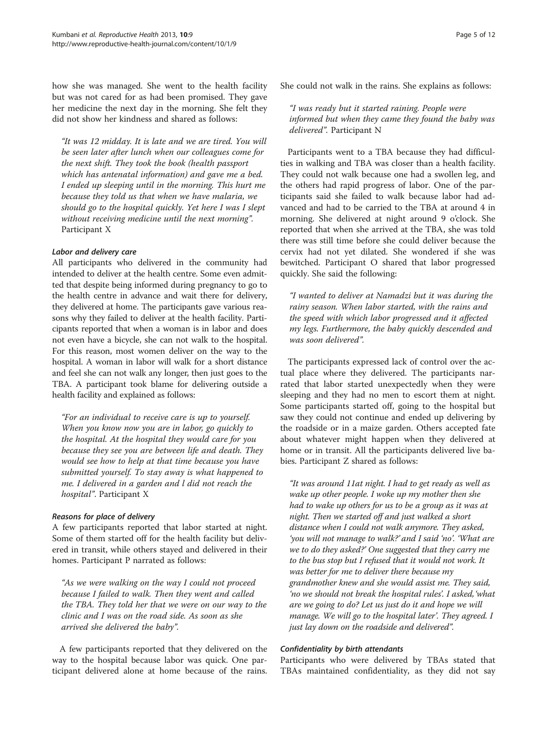how she was managed. She went to the health facility but was not cared for as had been promised. They gave her medicine the next day in the morning. She felt they did not show her kindness and shared as follows:

"It was 12 midday. It is late and we are tired. You will be seen later after lunch when our colleagues come for the next shift. They took the book (health passport which has antenatal information) and gave me a bed. I ended up sleeping until in the morning. This hurt me because they told us that when we have malaria, we should go to the hospital quickly. Yet here I was I slept without receiving medicine until the next morning". Participant X

#### Labor and delivery care

All participants who delivered in the community had intended to deliver at the health centre. Some even admitted that despite being informed during pregnancy to go to the health centre in advance and wait there for delivery, they delivered at home. The participants gave various reasons why they failed to deliver at the health facility. Participants reported that when a woman is in labor and does not even have a bicycle, she can not walk to the hospital. For this reason, most women deliver on the way to the hospital. A woman in labor will walk for a short distance and feel she can not walk any longer, then just goes to the TBA. A participant took blame for delivering outside a health facility and explained as follows:

"For an individual to receive care is up to yourself. When you know now you are in labor, go quickly to the hospital. At the hospital they would care for you because they see you are between life and death. They would see how to help at that time because you have submitted yourself. To stay away is what happened to me. I delivered in a garden and l did not reach the hospital". Participant X

#### Reasons for place of delivery

A few participants reported that labor started at night. Some of them started off for the health facility but delivered in transit, while others stayed and delivered in their homes. Participant P narrated as follows:

"As we were walking on the way I could not proceed because I failed to walk. Then they went and called the TBA. They told her that we were on our way to the clinic and I was on the road side. As soon as she arrived she delivered the baby".

A few participants reported that they delivered on the way to the hospital because labor was quick. One participant delivered alone at home because of the rains. She could not walk in the rains. She explains as follows:

"I was ready but it started raining. People were informed but when they came they found the baby was delivered". Participant N

Participants went to a TBA because they had difficulties in walking and TBA was closer than a health facility. They could not walk because one had a swollen leg, and the others had rapid progress of labor. One of the participants said she failed to walk because labor had advanced and had to be carried to the TBA at around 4 in morning. She delivered at night around 9 o'clock. She reported that when she arrived at the TBA, she was told there was still time before she could deliver because the cervix had not yet dilated. She wondered if she was bewitched. Participant O shared that labor progressed quickly. She said the following:

"I wanted to deliver at Namadzi but it was during the rainy season. When labor started, with the rains and the speed with which labor progressed and it affected my legs. Furthermore, the baby quickly descended and was soon delivered".

The participants expressed lack of control over the actual place where they delivered. The participants narrated that labor started unexpectedly when they were sleeping and they had no men to escort them at night. Some participants started off, going to the hospital but saw they could not continue and ended up delivering by the roadside or in a maize garden. Others accepted fate about whatever might happen when they delivered at home or in transit. All the participants delivered live babies. Participant Z shared as follows:

"It was around 11at night. I had to get ready as well as wake up other people. I woke up my mother then she had to wake up others for us to be a group as it was at night. Then we started off and just walked a short distance when I could not walk anymore. They asked, 'you will not manage to walk?' and I said 'no'. 'What are we to do they asked?' One suggested that they carry me to the bus stop but I refused that it would not work. It was better for me to deliver there because my grandmother knew and she would assist me. They said, 'no we should not break the hospital rules'. I asked,'what are we going to do? Let us just do it and hope we will manage. We will go to the hospital later'. They agreed. I just lay down on the roadside and delivered".

#### Confidentiality by birth attendants

Participants who were delivered by TBAs stated that TBAs maintained confidentiality, as they did not say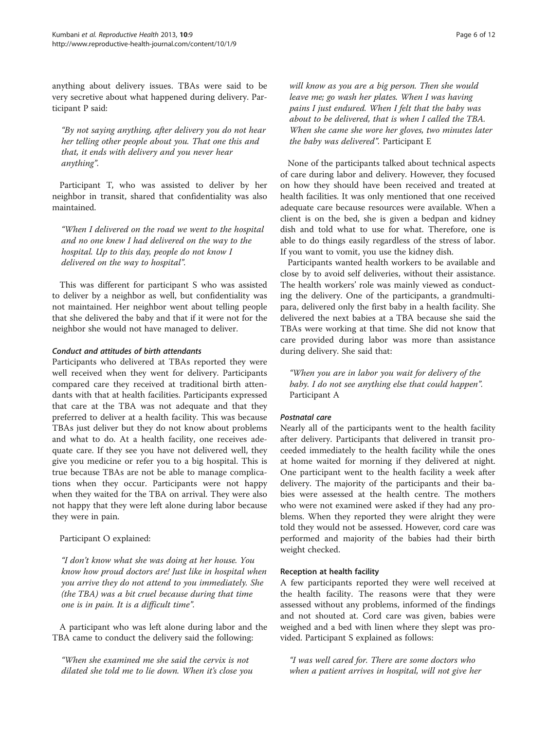anything about delivery issues. TBAs were said to be very secretive about what happened during delivery. Participant P said:

"By not saying anything, after delivery you do not hear her telling other people about you. That one this and that, it ends with delivery and you never hear anything".

Participant T, who was assisted to deliver by her neighbor in transit, shared that confidentiality was also maintained.

"When I delivered on the road we went to the hospital and no one knew I had delivered on the way to the hospital. Up to this day, people do not know I delivered on the way to hospital".

This was different for participant S who was assisted to deliver by a neighbor as well, but confidentiality was not maintained. Her neighbor went about telling people that she delivered the baby and that if it were not for the neighbor she would not have managed to deliver.

# Conduct and attitudes of birth attendants

Participants who delivered at TBAs reported they were well received when they went for delivery. Participants compared care they received at traditional birth attendants with that at health facilities. Participants expressed that care at the TBA was not adequate and that they preferred to deliver at a health facility. This was because TBAs just deliver but they do not know about problems and what to do. At a health facility, one receives adequate care. If they see you have not delivered well, they give you medicine or refer you to a big hospital. This is true because TBAs are not be able to manage complications when they occur. Participants were not happy when they waited for the TBA on arrival. They were also not happy that they were left alone during labor because they were in pain.

#### Participant O explained:

"I don't know what she was doing at her house. You know how proud doctors are! Just like in hospital when you arrive they do not attend to you immediately. She (the TBA) was a bit cruel because during that time one is in pain. It is a difficult time".

A participant who was left alone during labor and the TBA came to conduct the delivery said the following:

"When she examined me she said the cervix is not dilated she told me to lie down. When it's close you

will know as you are a big person. Then she would leave me; go wash her plates. When I was having pains I just endured. When I felt that the baby was about to be delivered, that is when I called the TBA. When she came she wore her gloves, two minutes later the baby was delivered". Participant E

None of the participants talked about technical aspects of care during labor and delivery. However, they focused on how they should have been received and treated at health facilities. It was only mentioned that one received adequate care because resources were available. When a client is on the bed, she is given a bedpan and kidney dish and told what to use for what. Therefore, one is able to do things easily regardless of the stress of labor. If you want to vomit, you use the kidney dish.

Participants wanted health workers to be available and close by to avoid self deliveries, without their assistance. The health workers' role was mainly viewed as conducting the delivery. One of the participants, a grandmultipara, delivered only the first baby in a health facility. She delivered the next babies at a TBA because she said the TBAs were working at that time. She did not know that care provided during labor was more than assistance during delivery. She said that:

"When you are in labor you wait for delivery of the baby. I do not see anything else that could happen". Participant A

#### Postnatal care

Nearly all of the participants went to the health facility after delivery. Participants that delivered in transit proceeded immediately to the health facility while the ones at home waited for morning if they delivered at night. One participant went to the health facility a week after delivery. The majority of the participants and their babies were assessed at the health centre. The mothers who were not examined were asked if they had any problems. When they reported they were alright they were told they would not be assessed. However, cord care was performed and majority of the babies had their birth weight checked.

#### Reception at health facility

A few participants reported they were well received at the health facility. The reasons were that they were assessed without any problems, informed of the findings and not shouted at. Cord care was given, babies were weighed and a bed with linen where they slept was provided. Participant S explained as follows:

"I was well cared for. There are some doctors who when a patient arrives in hospital, will not give her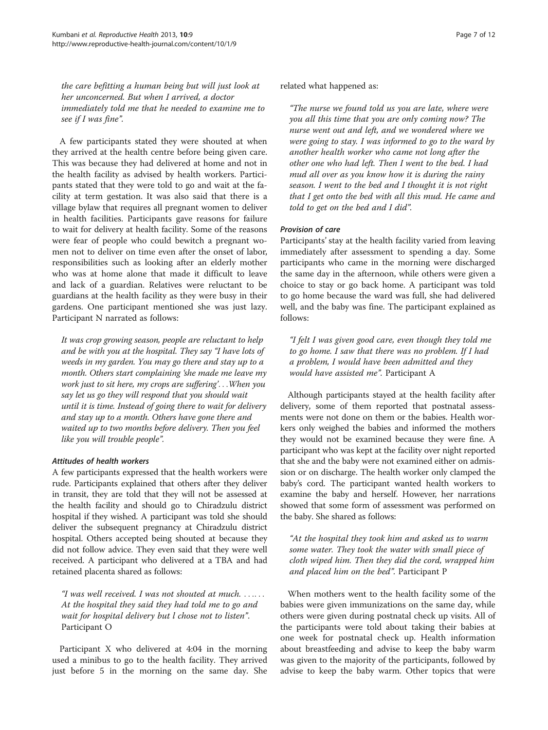the care befitting a human being but will just look at her unconcerned. But when I arrived, a doctor immediately told me that he needed to examine me to see if I was fine".

A few participants stated they were shouted at when they arrived at the health centre before being given care. This was because they had delivered at home and not in the health facility as advised by health workers. Participants stated that they were told to go and wait at the facility at term gestation. It was also said that there is a village bylaw that requires all pregnant women to deliver in health facilities. Participants gave reasons for failure to wait for delivery at health facility. Some of the reasons were fear of people who could bewitch a pregnant women not to deliver on time even after the onset of labor, responsibilities such as looking after an elderly mother who was at home alone that made it difficult to leave and lack of a guardian. Relatives were reluctant to be guardians at the health facility as they were busy in their gardens. One participant mentioned she was just lazy. Participant N narrated as follows:

It was crop growing season, people are reluctant to help and be with you at the hospital. They say "I have lots of weeds in my garden. You may go there and stay up to a month. Others start complaining 'she made me leave my work just to sit here, my crops are suffering'...When you say let us go they will respond that you should wait until it is time. Instead of going there to wait for delivery and stay up to a month. Others have gone there and waited up to two months before delivery. Then you feel like you will trouble people".

#### Attitudes of health workers

A few participants expressed that the health workers were rude. Participants explained that others after they deliver in transit, they are told that they will not be assessed at the health facility and should go to Chiradzulu district hospital if they wished. A participant was told she should deliver the subsequent pregnancy at Chiradzulu district hospital. Others accepted being shouted at because they did not follow advice. They even said that they were well received. A participant who delivered at a TBA and had retained placenta shared as follows:

"I was well received. I was not shouted at much. . . .. . . At the hospital they said they had told me to go and wait for hospital delivery but l chose not to listen". Participant O

Participant X who delivered at 4:04 in the morning used a minibus to go to the health facility. They arrived just before 5 in the morning on the same day. She related what happened as:

"The nurse we found told us you are late, where were you all this time that you are only coming now? The nurse went out and left, and we wondered where we were going to stay. I was informed to go to the ward by another health worker who came not long after the other one who had left. Then I went to the bed. I had mud all over as you know how it is during the rainy season. I went to the bed and I thought it is not right that I get onto the bed with all this mud. He came and told to get on the bed and I did".

#### Provision of care

Participants' stay at the health facility varied from leaving immediately after assessment to spending a day. Some participants who came in the morning were discharged the same day in the afternoon, while others were given a choice to stay or go back home. A participant was told to go home because the ward was full, she had delivered well, and the baby was fine. The participant explained as follows:

"I felt I was given good care, even though they told me to go home. I saw that there was no problem. If I had a problem, I would have been admitted and they would have assisted me". Participant A

Although participants stayed at the health facility after delivery, some of them reported that postnatal assessments were not done on them or the babies. Health workers only weighed the babies and informed the mothers they would not be examined because they were fine. A participant who was kept at the facility over night reported that she and the baby were not examined either on admission or on discharge. The health worker only clamped the baby's cord. The participant wanted health workers to examine the baby and herself. However, her narrations showed that some form of assessment was performed on the baby. She shared as follows:

"At the hospital they took him and asked us to warm some water. They took the water with small piece of cloth wiped him. Then they did the cord, wrapped him and placed him on the bed". Participant P

When mothers went to the health facility some of the babies were given immunizations on the same day, while others were given during postnatal check up visits. All of the participants were told about taking their babies at one week for postnatal check up. Health information about breastfeeding and advise to keep the baby warm was given to the majority of the participants, followed by advise to keep the baby warm. Other topics that were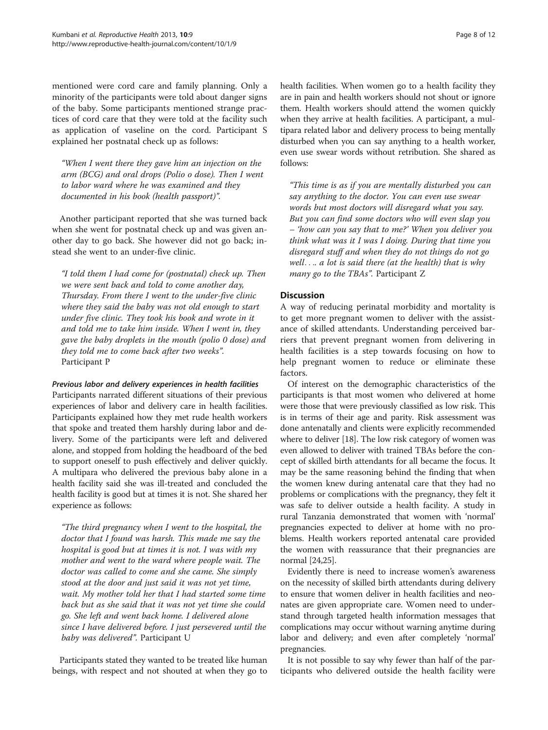mentioned were cord care and family planning. Only a minority of the participants were told about danger signs of the baby. Some participants mentioned strange practices of cord care that they were told at the facility such as application of vaseline on the cord. Participant S explained her postnatal check up as follows:

"When I went there they gave him an injection on the arm (BCG) and oral drops (Polio o dose). Then I went to labor ward where he was examined and they documented in his book (health passport)".

Another participant reported that she was turned back when she went for postnatal check up and was given another day to go back. She however did not go back; instead she went to an under-five clinic.

"I told them I had come for (postnatal) check up. Then we were sent back and told to come another day, Thursday. From there I went to the under-five clinic where they said the baby was not old enough to start under five clinic. They took his book and wrote in it and told me to take him inside. When I went in, they gave the baby droplets in the mouth (polio 0 dose) and they told me to come back after two weeks". Participant P

#### Previous labor and delivery experiences in health facilities

Participants narrated different situations of their previous experiences of labor and delivery care in health facilities. Participants explained how they met rude health workers that spoke and treated them harshly during labor and delivery. Some of the participants were left and delivered alone, and stopped from holding the headboard of the bed to support oneself to push effectively and deliver quickly. A multipara who delivered the previous baby alone in a health facility said she was ill-treated and concluded the health facility is good but at times it is not. She shared her experience as follows:

"The third pregnancy when I went to the hospital, the doctor that I found was harsh. This made me say the hospital is good but at times it is not. I was with my mother and went to the ward where people wait. The doctor was called to come and she came. She simply stood at the door and just said it was not yet time, wait. My mother told her that I had started some time back but as she said that it was not yet time she could go. She left and went back home. I delivered alone since I have delivered before. I just persevered until the baby was delivered". Participant U

Participants stated they wanted to be treated like human beings, with respect and not shouted at when they go to health facilities. When women go to a health facility they are in pain and health workers should not shout or ignore them. Health workers should attend the women quickly when they arrive at health facilities. A participant, a multipara related labor and delivery process to being mentally disturbed when you can say anything to a health worker, even use swear words without retribution. She shared as follows:

"This time is as if you are mentally disturbed you can say anything to the doctor. You can even use swear words but most doctors will disregard what you say. But you can find some doctors who will even slap you – 'how can you say that to me?' When you deliver you think what was it I was I doing. During that time you disregard stuff and when they do not things do not go well.... a lot is said there (at the health) that is why many go to the TBAs". Participant Z

# **Discussion**

A way of reducing perinatal morbidity and mortality is to get more pregnant women to deliver with the assistance of skilled attendants. Understanding perceived barriers that prevent pregnant women from delivering in health facilities is a step towards focusing on how to help pregnant women to reduce or eliminate these factors.

Of interest on the demographic characteristics of the participants is that most women who delivered at home were those that were previously classified as low risk. This is in terms of their age and parity. Risk assessment was done antenatally and clients were explicitly recommended where to deliver [[18](#page-10-0)]. The low risk category of women was even allowed to deliver with trained TBAs before the concept of skilled birth attendants for all became the focus. It may be the same reasoning behind the finding that when the women knew during antenatal care that they had no problems or complications with the pregnancy, they felt it was safe to deliver outside a health facility. A study in rural Tanzania demonstrated that women with 'normal' pregnancies expected to deliver at home with no problems. Health workers reported antenatal care provided the women with reassurance that their pregnancies are normal [\[24,25\]](#page-10-0).

Evidently there is need to increase women's awareness on the necessity of skilled birth attendants during delivery to ensure that women deliver in health facilities and neonates are given appropriate care. Women need to understand through targeted health information messages that complications may occur without warning anytime during labor and delivery; and even after completely 'normal' pregnancies.

It is not possible to say why fewer than half of the participants who delivered outside the health facility were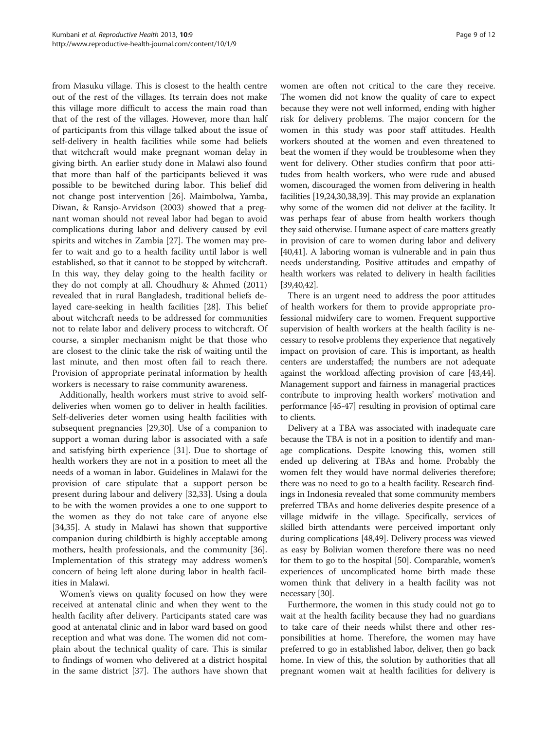from Masuku village. This is closest to the health centre out of the rest of the villages. Its terrain does not make this village more difficult to access the main road than that of the rest of the villages. However, more than half of participants from this village talked about the issue of self-delivery in health facilities while some had beliefs that witchcraft would make pregnant woman delay in giving birth. An earlier study done in Malawi also found that more than half of the participants believed it was possible to be bewitched during labor. This belief did not change post intervention [[26](#page-10-0)]. Maimbolwa, Yamba, Diwan, & Ransjo-Arvidson (2003) showed that a pregnant woman should not reveal labor had began to avoid complications during labor and delivery caused by evil spirits and witches in Zambia [[27\]](#page-10-0). The women may prefer to wait and go to a health facility until labor is well established, so that it cannot to be stopped by witchcraft. In this way, they delay going to the health facility or they do not comply at all. Choudhury & Ahmed (2011) revealed that in rural Bangladesh, traditional beliefs delayed care-seeking in health facilities [[28](#page-10-0)]. This belief about witchcraft needs to be addressed for communities not to relate labor and delivery process to witchcraft. Of course, a simpler mechanism might be that those who are closest to the clinic take the risk of waiting until the last minute, and then most often fail to reach there. Provision of appropriate perinatal information by health workers is necessary to raise community awareness.

Additionally, health workers must strive to avoid selfdeliveries when women go to deliver in health facilities. Self-deliveries deter women using health facilities with subsequent pregnancies [\[29,30\]](#page-10-0). Use of a companion to support a woman during labor is associated with a safe and satisfying birth experience [[31\]](#page-11-0). Due to shortage of health workers they are not in a position to meet all the needs of a woman in labor. Guidelines in Malawi for the provision of care stipulate that a support person be present during labour and delivery [\[32,33](#page-11-0)]. Using a doula to be with the women provides a one to one support to the women as they do not take care of anyone else [[34,35\]](#page-11-0). A study in Malawi has shown that supportive companion during childbirth is highly acceptable among mothers, health professionals, and the community [\[36](#page-11-0)]. Implementation of this strategy may address women's concern of being left alone during labor in health facilities in Malawi.

Women's views on quality focused on how they were received at antenatal clinic and when they went to the health facility after delivery. Participants stated care was good at antenatal clinic and in labor ward based on good reception and what was done. The women did not complain about the technical quality of care. This is similar to findings of women who delivered at a district hospital in the same district [[37](#page-11-0)]. The authors have shown that

women are often not critical to the care they receive. The women did not know the quality of care to expect because they were not well informed, ending with higher risk for delivery problems. The major concern for the women in this study was poor staff attitudes. Health workers shouted at the women and even threatened to beat the women if they would be troublesome when they went for delivery. Other studies confirm that poor attitudes from health workers, who were rude and abused women, discouraged the women from delivering in health facilities [[19](#page-10-0),[24,30,](#page-10-0)[38,39](#page-11-0)]. This may provide an explanation why some of the women did not deliver at the facility. It was perhaps fear of abuse from health workers though they said otherwise. Humane aspect of care matters greatly in provision of care to women during labor and delivery [[40,41](#page-11-0)]. A laboring woman is vulnerable and in pain thus needs understanding. Positive attitudes and empathy of health workers was related to delivery in health facilities [[39,40,42\]](#page-11-0).

There is an urgent need to address the poor attitudes of health workers for them to provide appropriate professional midwifery care to women. Frequent supportive supervision of health workers at the health facility is necessary to resolve problems they experience that negatively impact on provision of care. This is important, as health centers are understaffed; the numbers are not adequate against the workload affecting provision of care [\[43,44](#page-11-0)]. Management support and fairness in managerial practices contribute to improving health workers' motivation and performance [\[45-47](#page-11-0)] resulting in provision of optimal care to clients.

Delivery at a TBA was associated with inadequate care because the TBA is not in a position to identify and manage complications. Despite knowing this, women still ended up delivering at TBAs and home. Probably the women felt they would have normal deliveries therefore; there was no need to go to a health facility. Research findings in Indonesia revealed that some community members preferred TBAs and home deliveries despite presence of a village midwife in the village. Specifically, services of skilled birth attendants were perceived important only during complications [[48,49\]](#page-11-0). Delivery process was viewed as easy by Bolivian women therefore there was no need for them to go to the hospital [\[50\]](#page-11-0). Comparable, women's experiences of uncomplicated home birth made these women think that delivery in a health facility was not necessary [\[30](#page-10-0)].

Furthermore, the women in this study could not go to wait at the health facility because they had no guardians to take care of their needs whilst there and other responsibilities at home. Therefore, the women may have preferred to go in established labor, deliver, then go back home. In view of this, the solution by authorities that all pregnant women wait at health facilities for delivery is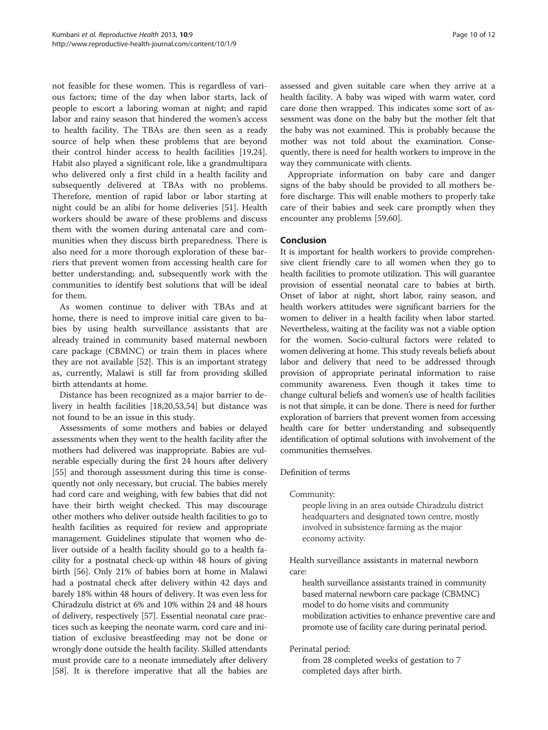not feasible for these women. This is regardless of various factors; time of the day when labor starts, lack of people to escort a laboring woman at night; and rapid labor and rainy season that hindered the women's access to health facility. The TBAs are then seen as a ready source of help when these problems that are beyond their control hinder access to health facilities [\[19,24](#page-10-0)]. Habit also played a significant role, like a grandmultipara who delivered only a first child in a health facility and subsequently delivered at TBAs with no problems. Therefore, mention of rapid labor or labor starting at night could be an alibi for home deliveries [\[51\]](#page-11-0). Health workers should be aware of these problems and discuss them with the women during antenatal care and communities when they discuss birth preparedness. There is also need for a more thorough exploration of these barriers that prevent women from accessing health care for better understanding; and, subsequently work with the communities to identify best solutions that will be ideal for them.

As women continue to deliver with TBAs and at home, there is need to improve initial care given to babies by using health surveillance assistants that are already trained in community based maternal newborn care package (CBMNC) or train them in places where they are not available [[52](#page-11-0)]. This is an important strategy as, currently, Malawi is still far from providing skilled birth attendants at home.

Distance has been recognized as a major barrier to delivery in health facilities [\[18,20](#page-10-0)[,53,54\]](#page-11-0) but distance was not found to be an issue in this study.

Assessments of some mothers and babies or delayed assessments when they went to the health facility after the mothers had delivered was inappropriate. Babies are vulnerable especially during the first 24 hours after delivery [[55](#page-11-0)] and thorough assessment during this time is consequently not only necessary, but crucial. The babies merely had cord care and weighing, with few babies that did not have their birth weight checked. This may discourage other mothers who deliver outside health facilities to go to health facilities as required for review and appropriate management. Guidelines stipulate that women who deliver outside of a health facility should go to a health facility for a postnatal check-up within 48 hours of giving birth [\[56\]](#page-11-0). Only 21% of babies born at home in Malawi had a postnatal check after delivery within 42 days and barely 18% within 48 hours of delivery. It was even less for Chiradzulu district at 6% and 10% within 24 and 48 hours of delivery, respectively [[57](#page-11-0)]. Essential neonatal care practices such as keeping the neonate warm, cord care and initiation of exclusive breastfeeding may not be done or wrongly done outside the health facility. Skilled attendants must provide care to a neonate immediately after delivery [[58](#page-11-0)]. It is therefore imperative that all the babies are

assessed and given suitable care when they arrive at a health facility. A baby was wiped with warm water, cord care done then wrapped. This indicates some sort of assessment was done on the baby but the mother felt that the baby was not examined. This is probably because the mother was not told about the examination. Consequently, there is need for health workers to improve in the way they communicate with clients.

Appropriate information on baby care and danger signs of the baby should be provided to all mothers before discharge. This will enable mothers to properly take care of their babies and seek care promptly when they encounter any problems [\[59,60](#page-11-0)].

# Conclusion

It is important for health workers to provide comprehensive client friendly care to all women when they go to health facilities to promote utilization. This will guarantee provision of essential neonatal care to babies at birth. Onset of labor at night, short labor, rainy season, and health workers attitudes were significant barriers for the women to deliver in a health facility when labor started. Nevertheless, waiting at the facility was not a viable option for the women. Socio-cultural factors were related to women delivering at home. This study reveals beliefs about labor and delivery that need to be addressed through provision of appropriate perinatal information to raise community awareness. Even though it takes time to change cultural beliefs and women's use of health facilities is not that simple, it can be done. There is need for further exploration of barriers that prevent women from accessing health care for better understanding and subsequently identification of optimal solutions with involvement of the communities themselves.

#### Definition of terms

#### Community:

people living in an area outside Chiradzulu district headquarters and designated town centre, mostly involved in subsistence farming as the major economy activity.

Health surveillance assistants in maternal newborn care:

health surveillance assistants trained in community based maternal newborn care package (CBMNC) model to do home visits and community mobilization activities to enhance preventive care and promote use of facility care during perinatal period.

# Perinatal period:

from 28 completed weeks of gestation to 7 completed days after birth.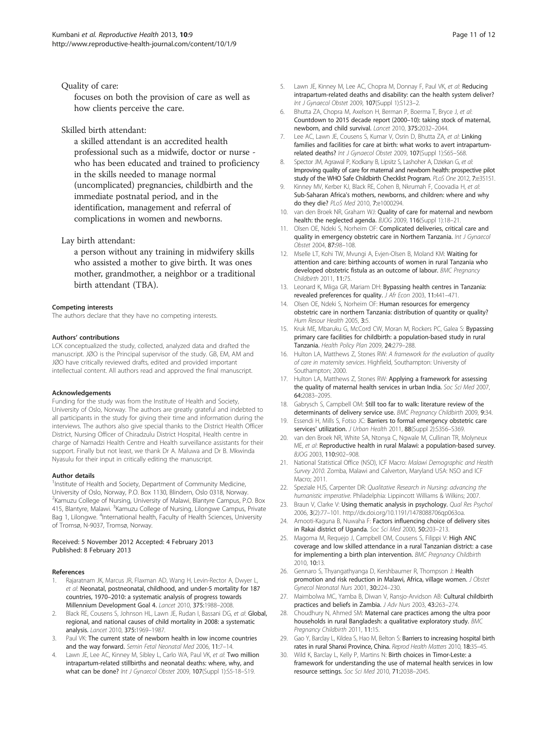#### <span id="page-10-0"></span>Quality of care:

focuses on both the provision of care as well as how clients perceive the care.

# Skilled birth attendant:

a skilled attendant is an accredited health professional such as a midwife, doctor or nurse who has been educated and trained to proficiency in the skills needed to manage normal (uncomplicated) pregnancies, childbirth and the immediate postnatal period, and in the identification, management and referral of complications in women and newborns.

#### Lay birth attendant:

a person without any training in midwifery skills who assisted a mother to give birth. It was ones mother, grandmother, a neighbor or a traditional birth attendant (TBA).

#### Competing interests

The authors declare that they have no competing interests.

#### Authors' contributions

LCK conceptualized the study, collected, analyzed data and drafted the manuscript. JØO is the Principal supervisor of the study. GB, EM, AM and JØO have critically reviewed drafts, edited and provided important intellectual content. All authors read and approved the final manuscript.

#### Acknowledgements

Funding for the study was from the Institute of Health and Society, University of Oslo, Norway. The authors are greatly grateful and indebted to all participants in the study for giving their time and information during the interviews. The authors also give special thanks to the District Health Officer District, Nursing Officer of Chiradzulu District Hospital, Health centre in charge of Namadzi Health Centre and Health surveillance assistants for their support. Finally but not least, we thank Dr A. Maluwa and Dr B. Mkwinda Nyasulu for their input in critically editing the manuscript.

#### Author details

<sup>1</sup>Institute of Health and Society, Department of Community Medicine, University of Oslo, Norway, P.O. Box 1130, Blindern, Oslo 0318, Norway. <sup>2</sup> Kamuzu College of Nursing, University of Malawi, Blantyre Campus, P.O. Box 415, Blantyre, Malawi. <sup>3</sup>Kamuzu College of Nursing, Lilongwe Campus, Private Bag 1, Lilongwe. <sup>4</sup>International health, Faculty of Health Sciences, University of Tromsø, N-9037, Tromsø, Norway.

#### Received: 5 November 2012 Accepted: 4 February 2013 Published: 8 February 2013

#### References

- Rajaratnam JK, Marcus JR, Flaxman AD, Wang H, Levin-Rector A, Dwyer L, et al: Neonatal, postneonatal, childhood, and under-5 mortality for 187 countries, 1970–2010: a systematic analysis of progress towards Millennium Development Goal 4. Lancet 2010, 375:1988–2008.
- 2. Black RE, Cousens S, Johnson HL, Lawn JE, Rudan I, Bassani DG, et al: Global, regional, and national causes of child mortality in 2008: a systematic analysis. Lancet 2010, 375:1969–1987.
- 3. Paul VK: The current state of newborn health in low income countries and the way forward. Semin Fetal Neonatal Med 2006, 11:7-14.
- 4. Lawn JE, Lee AC, Kinney M, Sibley L, Carlo WA, Paul VK, et al: Two million intrapartum-related stillbirths and neonatal deaths: where, why, and what can be done? Int J Gynaecol Obstet 2009, 107(Suppl 1):S5-18-S19.
- 5. Lawn JE, Kinney M, Lee AC, Chopra M, Donnay F, Paul VK, et al: Reducing intrapartum-related deaths and disability: can the health system deliver? Int J Gynaecol Obstet 2009, 107(Suppl 1):S123–2.
- 6. Bhutta ZA, Chopra M, Axelson H, Berman P, Boerma T, Bryce J, et al: Countdown to 2015 decade report (2000–10): taking stock of maternal, newborn, and child survival. Lancet 2010, 375:2032–2044.
- 7. Lee AC, Lawn JE, Cousens S, Kumar V, Osrin D, Bhutta ZA, et al: Linking families and facilities for care at birth: what works to avert intrapartumrelated deaths? Int J Gynaecol Obstet 2009, 107(Suppl 1):S65–S68.
- 8. Spector JM, Agrawal P, Kodkany B, Lipsitz S, Lashoher A, Dziekan G, et al: Improving quality of care for maternal and newborn health: prospective pilot study of the WHO Safe Childbirth Checklist Program. PLoS One 2012, 7:e35151.
- 9. Kinney MV, Kerber KJ, Black RE, Cohen B, Nkrumah F, Coovadia H, et al: Sub-Saharan Africa's mothers, newborns, and children: where and why do they die? PLoS Med 2010, 7:e1000294.
- 10. van den Broek NR, Graham WJ: Quality of care for maternal and newborn health: the neglected agenda. BJOG 2009, 116(Suppl 1):18-21.
- 11. Olsen OE, Ndeki S, Norheim OF: Complicated deliveries, critical care and quality in emergency obstetric care in Northern Tanzania. Int J Gynaecol Obstet 2004, 87:98–108.
- 12. Mselle LT, Kohi TW, Mvungi A, Evjen-Olsen B, Moland KM: Waiting for attention and care: birthing accounts of women in rural Tanzania who developed obstetric fistula as an outcome of labour. BMC Pregnancy Childbirth 2011, 11:75.
- 13. Leonard K, Mliga GR, Mariam DH: Bypassing health centres in Tanzania: revealed preferences for quality. J Afr Econ 2003, 11:441–471.
- 14. Olsen OE, Ndeki S, Norheim OF: Human resources for emergency obstetric care in northern Tanzania: distribution of quantity or quality? Hum Resour Health 2005, 3:5.
- 15. Kruk ME, Mbaruku G, McCord CW, Moran M, Rockers PC, Galea S: Bypassing primary care facilities for childbirth: a population-based study in rural Tanzania. Health Policy Plan 2009, 24:279-288.
- 16. Hulton LA, Matthews Z, Stones RW: A framework for the evaluation of quality of care in maternity services. Highfield, Southampton: University of Southampton; 2000.
- 17. Hulton LA, Matthews Z, Stones RW: Applying a framework for assessing the quality of maternal health services in urban India. Soc Sci Med 2007, 64:2083–2095.
- 18. Gabrysch S, Campbell OM: Still too far to walk: literature review of the determinants of delivery service use. BMC Pregnancy Childbirth 2009, 9:34.
- 19. Essendi H, Mills S, Fotso JC: Barriers to formal emergency obstetric care services' utilization. J Urban Health 2011, 88(Suppl 2):S356-S369.
- 20. van den Broek NR, White SA, Ntonya C, Ngwale M, Cullinan TR, Molyneux ME, et al: Reproductive health in rural Malawi: a population-based survey. BJOG 2003, 110:902–908.
- 21. National Statistical Office (NSO), ICF Macro: Malawi Demographic and Health Survey 2010. Zomba, Malawi and Calverton, Maryland USA: NSO and ICF Macro; 2011.
- 22. Speziale HJS, Carpenter DR: Qualitative Research in Nursing: advancing the humanistic imperative. Philadelphia: Lippincott Williams & Wilkins; 2007.
- 23. Braun V, Clarke V: Using thematic analysis in psychology. Qual Res Psychol 2006, 3(2):77–101. http://dx.doi.org[/10.1191/1478088706qp063oa](http://dx.doi.org/10.1191/1478088706qp063oa).
- 24. Amooti-Kaguna B, Nuwaha F: Factors influencing choice of delivery sites in Rakai district of Uganda. Soc Sci Med 2000, 50:203–213.
- 25. Magoma M, Requejo J, Campbell OM, Cousens S, Filippi V: High ANC coverage and low skilled attendance in a rural Tanzanian district: a case for implementing a birth plan intervention. BMC Pregnancy Childbirth 2010, 10:13.
- 26. Gennaro S, Thyangathyanga D, Kershbaumer R, Thompson J: Health promotion and risk reduction in Malawi, Africa, village women. J Obstet Gynecol Neonatal Nurs 2001, 30:224–230.
- 27. Maimbolwa MC, Yamba B, Diwan V, Ransjo-Arvidson AB: Cultural childbirth practices and beliefs in Zambia. J Adv Nurs 2003, 43:263–274.
- 28. Choudhury N, Ahmed SM: Maternal care practices among the ultra poor households in rural Bangladesh: a qualitative exploratory study. BMC Pregnancy Childbirth 2011, 11:15.
- 29. Gao Y, Barclay L, Kildea S, Hao M, Belton S: Barriers to increasing hospital birth rates in rural Shanxi Province, China. Reprod Health Matters 2010, 18:35–45.
- 30. Wild K, Barclay L, Kelly P, Martins N: Birth choices in Timor-Leste: a framework for understanding the use of maternal health services in low resource settings. Soc Sci Med 2010, 71:2038–2045.